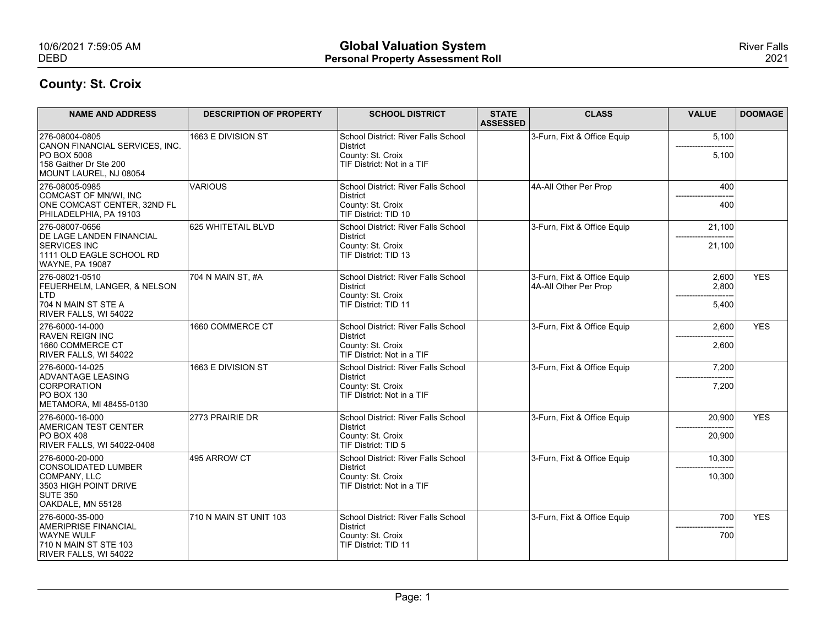| 10/6/2021 7:59:05 AM                                                                                     |                                | <b>Global Valuation System</b>                                    |                                 |                                                      |                     | <b>River Falls</b> |
|----------------------------------------------------------------------------------------------------------|--------------------------------|-------------------------------------------------------------------|---------------------------------|------------------------------------------------------|---------------------|--------------------|
| <b>DEBD</b>                                                                                              |                                | <b>Personal Property Assessment Roll</b>                          |                                 |                                                      |                     | 2021               |
| <b>County: St. Croix</b>                                                                                 |                                |                                                                   |                                 |                                                      |                     |                    |
| <b>NAME AND ADDRESS</b>                                                                                  | <b>DESCRIPTION OF PROPERTY</b> | <b>SCHOOL DISTRICT</b>                                            | <b>STATE</b><br><b>ASSESSED</b> | <b>CLASS</b>                                         | <b>VALUE</b>        | <b>DOOMAGE</b>     |
| 276-08004-0805                                                                                           | 1663 E DIVISION ST             | School District: River Falls School                               |                                 | 3-Furn, Fixt & Office Equip                          | 5,100               |                    |
| CANON FINANCIAL SERVICES, INC.<br><b>PO BOX 5008</b><br>158 Gaither Dr Ste 200<br>MOUNT LAUREL, NJ 08054 |                                | District<br>County: St. Croix<br>TIF District: Not in a TIF       |                                 |                                                      | 5,100               |                    |
| 276-08005-0985<br>COMCAST OF MN/WI, INC                                                                  | <b>VARIOUS</b>                 | School District: River Falls School<br>District                   |                                 | 4A-All Other Per Prop                                | 400                 |                    |
| ONE COMCAST CENTER, 32ND FL<br>PHILADELPHIA, PA 19103                                                    |                                | County: St. Croix<br>TIF District: TID 10                         |                                 |                                                      | 400                 |                    |
| 276-08007-0656<br><b>DE LAGE LANDEN FINANCIAL</b>                                                        | 625 WHITETAIL BLVD             | School District: River Falls School<br>District                   |                                 | 3-Furn, Fixt & Office Equip                          | 21,100              |                    |
| <b>SERVICES INC</b><br>1111 OLD EAGLE SCHOOL RD<br><b>WAYNE, PA 19087</b>                                |                                | County: St. Croix<br>TIF District: TID 13                         |                                 |                                                      | 21,100              |                    |
| 276-08021-0510<br><b>FEUERHELM, LANGER, &amp; NELSON</b>                                                 | 704 N MAIN ST, #A              | School District: River Falls School<br>District                   |                                 | 3-Furn, Fixt & Office Equip<br>4A-All Other Per Prop | 2,600<br>2,800      | <b>YES</b>         |
| LTD<br>704 N MAIN ST STE A                                                                               |                                | County: St. Croix<br>TIF District: TID 11                         |                                 |                                                      | 5,400               |                    |
| RIVER FALLS, WI 54022<br>276-6000-14-000                                                                 | 1660 COMMERCE CT               | School District: River Falls School                               |                                 | 3-Furn, Fixt & Office Equip                          | 2,600               | <b>YES</b>         |
| <b>RAVEN REIGN INC</b><br>1660 COMMERCE CT                                                               |                                | District<br>County: St. Croix                                     |                                 |                                                      | 2,600               |                    |
| RIVER FALLS, WI 54022<br>276-6000-14-025                                                                 | 1663 E DIVISION ST             | TIF District: Not in a TIF<br>School District: River Falls School |                                 | 3-Furn, Fixt & Office Equip                          | 7,200               |                    |
| ADVANTAGE LEASING<br>CORPORATION                                                                         |                                | District<br>County: St. Croix                                     |                                 |                                                      | 7,200               |                    |
| <b>PO BOX 130</b><br>METAMORA, MI 48455-0130                                                             |                                | TIF District: Not in a TIF                                        |                                 |                                                      |                     |                    |
| 276-6000-16-000<br>AMERICAN TEST CENTER                                                                  | 2773 PRAIRIE DR                | School District: River Falls School<br>District                   |                                 | 3-Furn, Fixt & Office Equip                          | 20,900              | <b>YES</b>         |
| <b>PO BOX 408</b><br>RIVER FALLS, WI 54022-0408                                                          |                                | County: St. Croix<br>TIF District: TID 5                          |                                 |                                                      | 20,900              |                    |
| 276-6000-20-000<br>CONSOLIDATED LUMBER                                                                   | 495 ARROW CT                   | School District: River Falls School<br>District                   |                                 | 3-Furn, Fixt & Office Equip                          | 10,300              |                    |
| COMPANY, LLC<br>3503 HIGH POINT DRIVE<br><b>SUTE 350</b><br>OAKDALE, MN 55128                            |                                | County: St. Croix<br>TIF District: Not in a TIF                   |                                 |                                                      | 10,300              |                    |
| 276-6000-35-000                                                                                          | 710 N MAIN ST UNIT 103         | School District: River Falls School                               |                                 | 3-Furn, Fixt & Office Equip                          | 700                 | <b>YES</b>         |
| AMERIPRISE FINANCIAL<br><b>WAYNE WULF</b><br>710 N MAIN ST STE 103<br>RIVER FALLS, WI 54022              |                                | District<br>County: St. Croix<br>TIF District: TID 11             |                                 |                                                      | ------------<br>700 |                    |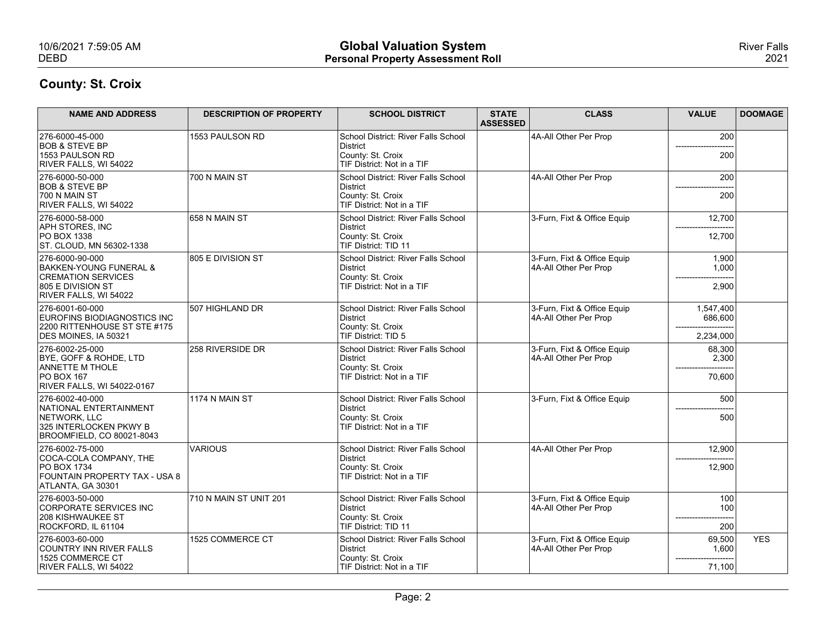| 10/6/2021 7:59:05 AM                                                                                                            |                                | <b>Global Valuation System</b>                                                                     |                                 |                                                      |                                   | <b>River Falls</b> |
|---------------------------------------------------------------------------------------------------------------------------------|--------------------------------|----------------------------------------------------------------------------------------------------|---------------------------------|------------------------------------------------------|-----------------------------------|--------------------|
| <b>DEBD</b>                                                                                                                     |                                | <b>Personal Property Assessment Roll</b>                                                           |                                 |                                                      |                                   | 2021               |
| <b>County: St. Croix</b>                                                                                                        |                                |                                                                                                    |                                 |                                                      |                                   |                    |
| <b>NAME AND ADDRESS</b>                                                                                                         | <b>DESCRIPTION OF PROPERTY</b> | <b>SCHOOL DISTRICT</b>                                                                             | <b>STATE</b><br><b>ASSESSED</b> | <b>CLASS</b>                                         | <b>VALUE</b>                      | <b>DOOMAGE</b>     |
| 276-6000-45-000<br><b>BOB &amp; STEVE BP</b><br>1553 PAULSON RD<br>RIVER FALLS, WI 54022                                        | 1553 PAULSON RD                | School District: River Falls School<br>District<br>County: St. Croix<br>TIF District: Not in a TIF |                                 | 4A-All Other Per Prop                                | 200<br>200                        |                    |
| 276-6000-50-000<br><b>BOB &amp; STEVE BP</b><br>700 N MAIN ST<br>RIVER FALLS, WI 54022                                          | 700 N MAIN ST                  | School District: River Falls School<br>District<br>County: St. Croix<br>TIF District: Not in a TIF |                                 | 4A-All Other Per Prop                                | 200<br>200                        |                    |
| 276-6000-58-000<br>APH STORES, INC<br>PO BOX 1338<br>ST. CLOUD, MN 56302-1338                                                   | 658 N MAIN ST                  | School District: River Falls School<br>District<br>County: St. Croix<br>TIF District: TID 11       |                                 | 3-Furn, Fixt & Office Equip                          | 12,700<br>12,700                  |                    |
| 276-6000-90-000<br><b>BAKKEN-YOUNG FUNERAL &amp;</b><br><b>CREMATION SERVICES</b><br>805 E DIVISION ST<br>RIVER FALLS, WI 54022 | 805 E DIVISION ST              | School District: River Falls School<br>District<br>County: St. Croix<br>TIF District: Not in a TIF |                                 | 3-Furn, Fixt & Office Equip<br>4A-All Other Per Prop | 1,900<br>1,000<br>2,900           |                    |
| 276-6001-60-000<br>EUROFINS BIODIAGNOSTICS INC<br>2200 RITTENHOUSE ST STE #175<br>DES MOINES, IA 50321                          | 507 HIGHLAND DR                | School District: River Falls School<br>District<br>County: St. Croix<br>TIF District: TID 5        |                                 | 3-Furn, Fixt & Office Equip<br>4A-All Other Per Prop | 1,547,400<br>686,600<br>2,234,000 |                    |
| 276-6002-25-000<br>BYE, GOFF & ROHDE, LTD<br><b>ANNETTE M THOLE</b><br><b>PO BOX 167</b><br><b>RIVER FALLS, WI 54022-0167</b>   | 258 RIVERSIDE DR               | School District: River Falls School<br>District<br>County: St. Croix<br>TIF District: Not in a TIF |                                 | 3-Furn, Fixt & Office Equip<br>4A-All Other Per Prop | 68,300<br>2,300<br>70,600         |                    |
| 276-6002-40-000<br>NATIONAL ENTERTAINMENT<br>NETWORK, LLC<br>325 INTERLOCKEN PKWY B<br>BROOMFIELD, CO 80021-8043                | 1174 N MAIN ST                 | School District: River Falls School<br>District<br>County: St. Croix<br>TIF District: Not in a TIF |                                 | 3-Furn, Fixt & Office Equip                          | 500<br>500                        |                    |
| 276-6002-75-000<br>COCA-COLA COMPANY, THE<br><b>PO BOX 1734</b><br>FOUNTAIN PROPERTY TAX - USA 8<br>ATLANTA, GA 30301           | <b>VARIOUS</b>                 | School District: River Falls School<br>District<br>County: St. Croix<br>TIF District: Not in a TIF |                                 | 4A-All Other Per Prop                                | 12,900<br>12,900                  |                    |
| 276-6003-50-000<br>CORPORATE SERVICES INC<br>208 KISHWAUKEE ST<br>ROCKFORD, IL 61104                                            | 710 N MAIN ST UNIT 201         | School District: River Falls School<br>District<br>County: St. Croix<br>TIF District: TID 11       |                                 | 3-Furn, Fixt & Office Equip<br>4A-All Other Per Prop | 100<br>100<br>200                 |                    |
| 276-6003-60-000<br>COUNTRY INN RIVER FALLS<br>1525 COMMERCE CT<br>RIVER FALLS, WI 54022                                         | 1525 COMMERCE CT               | School District: River Falls School<br>District<br>County: St. Croix<br>TIF District: Not in a TIF |                                 | 3-Furn, Fixt & Office Equip<br>4A-All Other Per Prop | 69,500<br>1,600<br>71,100         | <b>YES</b>         |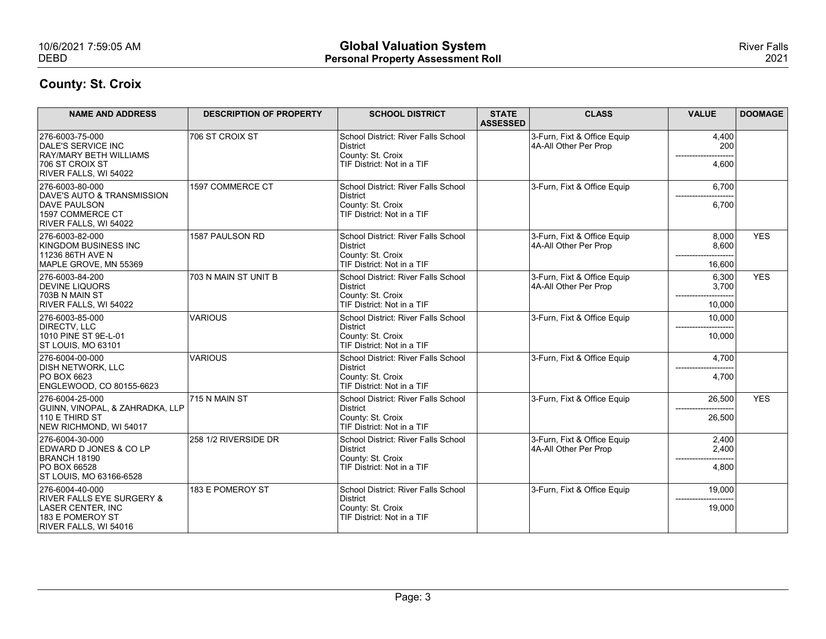| 10/6/2021 7:59:05 AM                                                      |                                | <b>Global Valuation System</b>                              |                                 |                                                      |                  | <b>River Falls</b> |
|---------------------------------------------------------------------------|--------------------------------|-------------------------------------------------------------|---------------------------------|------------------------------------------------------|------------------|--------------------|
| <b>DEBD</b>                                                               |                                | <b>Personal Property Assessment Roll</b>                    |                                 |                                                      |                  | 2021               |
| <b>County: St. Croix</b>                                                  |                                |                                                             |                                 |                                                      |                  |                    |
| <b>NAME AND ADDRESS</b>                                                   | <b>DESCRIPTION OF PROPERTY</b> | <b>SCHOOL DISTRICT</b>                                      | <b>STATE</b><br><b>ASSESSED</b> | <b>CLASS</b>                                         | <b>VALUE</b>     | <b>DOOMAGE</b>     |
| 276-6003-75-000<br>DALE'S SERVICE INC                                     | 706 ST CROIX ST                | School District: River Falls School<br>District             |                                 | 3-Furn, Fixt & Office Equip<br>4A-All Other Per Prop | 4,400<br>200     |                    |
| <b>RAY/MARY BETH WILLIAMS</b><br>706 ST CROIX ST<br>RIVER FALLS, WI 54022 |                                | County: St. Croix<br>TIF District: Not in a TIF             |                                 |                                                      | 4,600            |                    |
| 276-6003-80-000<br>DAVE'S AUTO & TRANSMISSION                             | 1597 COMMERCE CT               | School District: River Falls School<br>District             |                                 | 3-Furn, Fixt & Office Equip                          | 6,700            |                    |
| <b>DAVE PAULSON</b><br>1597 COMMERCE CT<br>RIVER FALLS, WI 54022          |                                | County: St. Croix<br>TIF District: Not in a TIF             |                                 |                                                      | 6,700            |                    |
| 276-6003-82-000<br>KINGDOM BUSINESS INC                                   | 1587 PAULSON RD                | School District: River Falls School<br>District             |                                 | 3-Furn, Fixt & Office Equip<br>4A-All Other Per Prop | 8,000<br>8,600   | <b>YES</b>         |
| 11236 86TH AVE N<br>MAPLE GROVE, MN 55369                                 |                                | County: St. Croix<br>TIF District: Not in a TIF             |                                 |                                                      | 16,600           |                    |
| 276-6003-84-200<br><b>DEVINE LIQUORS</b>                                  | 703 N MAIN ST UNIT B           | School District: River Falls School<br>District             |                                 | 3-Furn, Fixt & Office Equip<br>4A-All Other Per Prop | 6,300<br>3,700   | <b>YES</b>         |
| 703B N MAIN ST<br>RIVER FALLS, WI 54022                                   |                                | County: St. Croix<br>TIF District: Not in a TIF             |                                 |                                                      | 10,000           |                    |
| 276-6003-85-000<br>DIRECTV, LLC                                           | VARIOUS                        | School District: River Falls School<br>District             |                                 | 3-Furn, Fixt & Office Equip                          | 10,000<br>------ |                    |
| 1010 PINE ST 9E-L-01<br>ST LOUIS, MO 63101                                |                                | County: St. Croix<br>TIF District: Not in a TIF             |                                 |                                                      | 10,000           |                    |
| 276-6004-00-000<br><b>DISH NETWORK, LLC</b>                               | VARIOUS                        | School District: River Falls School<br>District             |                                 | 3-Furn, Fixt & Office Equip                          | 4,700            |                    |
| <b>PO BOX 6623</b><br>ENGLEWOOD, CO 80155-6623                            |                                | County: St. Croix<br>TIF District: Not in a TIF             |                                 |                                                      | 4,700            |                    |
| 276-6004-25-000<br>GUINN, VINOPAL, & ZAHRADKA, LLP                        | 715 N MAIN ST                  | School District: River Falls School<br>District             |                                 | 3-Furn, Fixt & Office Equip                          | 26,500           | <b>YES</b>         |
| 110 E THIRD ST<br>NEW RICHMOND, WI 54017                                  |                                | County: St. Croix<br>TIF District: Not in a TIF             |                                 |                                                      | 26,500           |                    |
| 276-6004-30-000<br>EDWARD D JONES & CO LP                                 | 258 1/2 RIVERSIDE DR           | School District: River Falls School<br>District             |                                 | 3-Furn, Fixt & Office Equip<br>4A-All Other Per Prop | 2,400<br>2,400   |                    |
| BRANCH 18190<br>PO BOX 66528                                              |                                | County: St. Croix<br>TIF District: Not in a TIF             |                                 |                                                      | 4,800            |                    |
| ST LOUIS, MO 63166-6528<br>276-6004-40-000                                | 183 E POMEROY ST               | School District: River Falls School                         |                                 | 3-Furn, Fixt & Office Equip                          | 19,000           |                    |
| <b>RIVER FALLS EYE SURGERY &amp;</b><br>LASER CENTER, INC                 |                                | District<br>County: St. Croix<br>TIF District: Not in a TIF |                                 |                                                      | 19,000           |                    |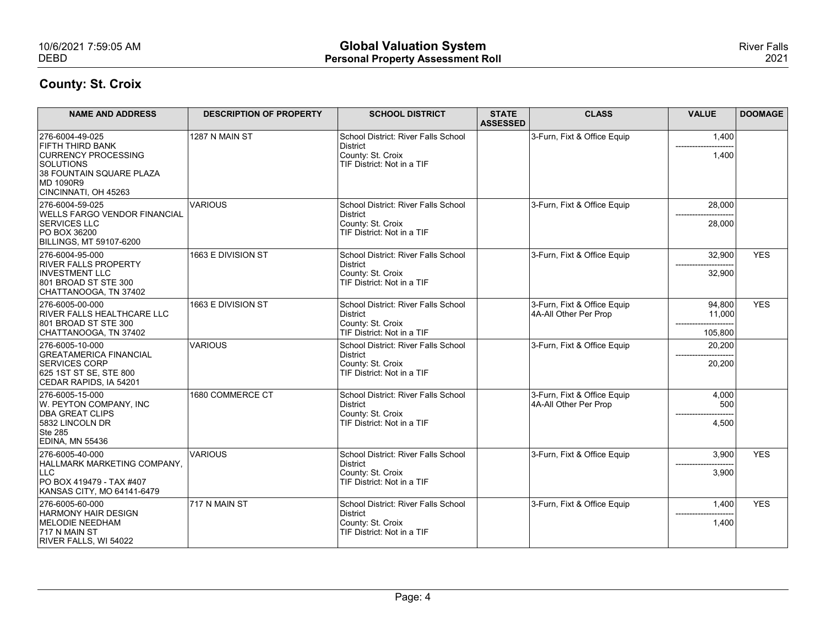| 10/6/2021 7:59:05 AM<br><b>DEBD</b>                                                                                                                    |                                | <b>Global Valuation System</b><br><b>Personal Property Assessment Roll</b>                         |                                 |                                                      |                               | <b>River Falls</b><br>2021 |
|--------------------------------------------------------------------------------------------------------------------------------------------------------|--------------------------------|----------------------------------------------------------------------------------------------------|---------------------------------|------------------------------------------------------|-------------------------------|----------------------------|
| <b>County: St. Croix</b>                                                                                                                               |                                |                                                                                                    |                                 |                                                      |                               |                            |
| <b>NAME AND ADDRESS</b>                                                                                                                                | <b>DESCRIPTION OF PROPERTY</b> | <b>SCHOOL DISTRICT</b>                                                                             | <b>STATE</b><br><b>ASSESSED</b> | <b>CLASS</b>                                         | <b>VALUE</b>                  | <b>DOOMAGE</b>             |
| 276-6004-49-025<br><b>FIFTH THIRD BANK</b><br><b>CURRENCY PROCESSING</b><br>SOLUTIONS<br>38 FOUNTAIN SQUARE PLAZA<br>MD 1090R9<br>CINCINNATI, OH 45263 | 1287 N MAIN ST                 | School District: River Falls School<br>District<br>County: St. Croix<br>TIF District: Not in a TIF |                                 | 3-Furn, Fixt & Office Equip                          | 1,400<br>1,400                |                            |
| 276-6004-59-025<br><b>WELLS FARGO VENDOR FINANCIAL</b><br><b>SERVICES LLC</b><br>PO BOX 36200<br>BILLINGS, MT 59107-6200                               | <b>VARIOUS</b>                 | School District: River Falls School<br>District<br>County: St. Croix<br>TIF District: Not in a TIF |                                 | 3-Furn, Fixt & Office Equip                          | 28,000<br>28,000              |                            |
| 276-6004-95-000<br><b>RIVER FALLS PROPERTY</b><br><b>INVESTMENT LLC</b><br>801 BROAD ST STE 300<br>CHATTANOOGA, TN 37402                               | 1663 E DIVISION ST             | School District: River Falls School<br>District<br>County: St. Croix<br>TIF District: Not in a TIF |                                 | 3-Furn, Fixt & Office Equip                          | 32,900<br>32,900              | <b>YES</b>                 |
| 276-6005-00-000<br>RIVER FALLS HEALTHCARE LLC<br>801 BROAD ST STE 300<br>CHATTANOOGA, TN 37402                                                         | 1663 E DIVISION ST             | School District: River Falls School<br>District<br>County: St. Croix<br>TIF District: Not in a TIF |                                 | 3-Furn, Fixt & Office Equip<br>4A-All Other Per Prop | 94,800<br>11,000<br>105,800   | <b>YES</b>                 |
| 276-6005-10-000<br><b>GREATAMERICA FINANCIAL</b><br>SERVICES CORP<br>625 1ST ST SE, STE 800<br>CEDAR RAPIDS, IA 54201                                  | VARIOUS                        | School District: River Falls School<br>District<br>County: St. Croix<br>TIF District: Not in a TIF |                                 | 3-Furn, Fixt & Office Equip                          | 20,200<br>20,200              |                            |
| 276-6005-15-000<br>W. PEYTON COMPANY, INC<br><b>DBA GREAT CLIPS</b><br>5832 LINCOLN DR<br>Ste 285<br>EDINA, MN 55436                                   | 1680 COMMERCE CT               | School District: River Falls School<br>District<br>County: St. Croix<br>TIF District: Not in a TIF |                                 | 3-Furn, Fixt & Office Equip<br>4A-All Other Per Prop | 4,000<br>500<br>4,500         |                            |
| 276-6005-40-000<br>HALLMARK MARKETING COMPANY,<br>LLC<br> PO BOX 419479 - TAX #407<br>KANSAS CITY, MO 64141-6479                                       | VARIOUS                        | School District: River Falls School<br>District<br>County: St. Croix<br>TIF District: Not in a TIF |                                 | 3-Furn, Fixt & Office Equip                          | 3,900<br>-----------<br>3,900 | <b>YES</b>                 |
| 276-6005-60-000<br><b>HARMONY HAIR DESIGN</b><br>MELODIE NEEDHAM<br>717 N MAIN ST<br>RIVER FALLS, WI 54022                                             | 717 N MAIN ST                  | School District: River Falls School<br>District<br>County: St. Croix<br>TIF District: Not in a TIF |                                 | 3-Furn, Fixt & Office Equip                          | 1,400<br>1,400                | <b>YES</b>                 |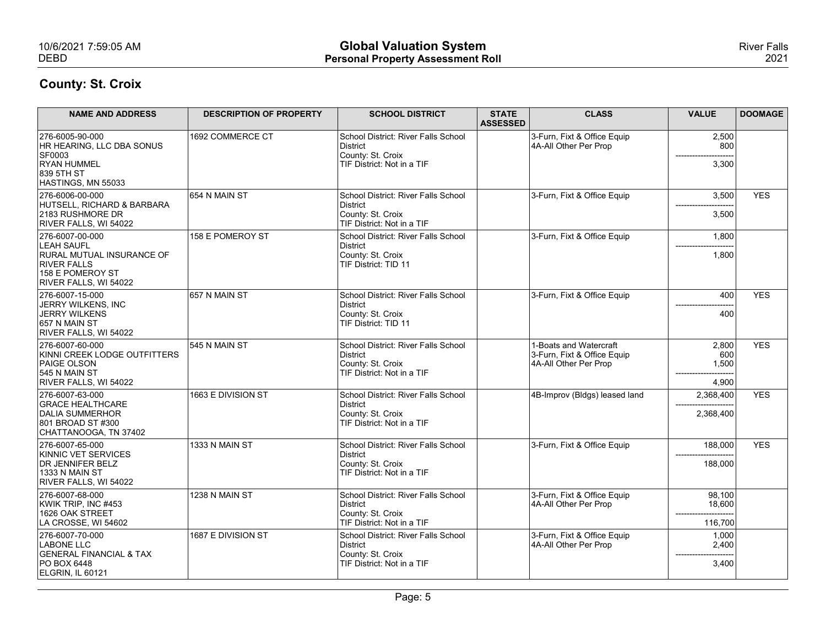| 10/6/2021 7:59:05 AM<br><b>DEBD</b>                                                                                                         |                                | <b>Global Valuation System</b><br><b>Personal Property Assessment Roll</b>                         |                                 |                                                                                |                                        | <b>River Falls</b><br>2021 |
|---------------------------------------------------------------------------------------------------------------------------------------------|--------------------------------|----------------------------------------------------------------------------------------------------|---------------------------------|--------------------------------------------------------------------------------|----------------------------------------|----------------------------|
| <b>County: St. Croix</b>                                                                                                                    |                                |                                                                                                    |                                 |                                                                                |                                        |                            |
| <b>NAME AND ADDRESS</b>                                                                                                                     | <b>DESCRIPTION OF PROPERTY</b> | <b>SCHOOL DISTRICT</b>                                                                             | <b>STATE</b><br><b>ASSESSED</b> | <b>CLASS</b>                                                                   | <b>VALUE</b>                           | <b>DOOMAGE</b>             |
| 276-6005-90-000<br>HR HEARING, LLC DBA SONUS<br><b>SF0003</b><br><b>RYAN HUMMEL</b><br>839 5TH ST                                           | 1692 COMMERCE CT               | School District: River Falls School<br>District<br>County: St. Croix<br>TIF District: Not in a TIF |                                 | 3-Furn, Fixt & Office Equip<br>4A-All Other Per Prop                           | 2,500<br>800<br>3,300                  |                            |
| HASTINGS, MN 55033<br>276-6006-00-000<br>HUTSELL, RICHARD & BARBARA<br>2183 RUSHMORE DR<br>RIVER FALLS, WI 54022                            | 654 N MAIN ST                  | School District: River Falls School<br>District<br>County: St. Croix<br>TIF District: Not in a TIF |                                 | 3-Furn, Fixt & Office Equip                                                    | 3,500<br>3,500                         | <b>YES</b>                 |
| 276-6007-00-000<br><b>LEAH SAUFL</b><br><b>RURAL MUTUAL INSURANCE OF</b><br><b>RIVER FALLS</b><br>158 E POMEROY ST<br>RIVER FALLS, WI 54022 | 158 E POMEROY ST               | School District: River Falls School<br>District<br>County: St. Croix<br>TIF District: TID 11       |                                 | 3-Furn, Fixt & Office Equip                                                    | 1,800<br>--------------------<br>1,800 |                            |
| 276-6007-15-000<br>JERRY WILKENS, INC<br>JERRY WILKENS<br>657 N MAIN ST<br>RIVER FALLS, WI 54022                                            | 657 N MAIN ST                  | School District: River Falls School<br>District<br>County: St. Croix<br>TIF District: TID 11       |                                 | 3-Furn, Fixt & Office Equip                                                    | 400<br>400                             | <b>YES</b>                 |
| 276-6007-60-000<br>KINNI CREEK LODGE OUTFITTERS<br><b>PAIGE OLSON</b><br>545 N MAIN ST<br>RIVER FALLS, WI 54022                             | 545 N MAIN ST                  | School District: River Falls School<br>District<br>County: St. Croix<br>TIF District: Not in a TIF |                                 | 1-Boats and Watercraft<br>3-Furn, Fixt & Office Equip<br>4A-All Other Per Prop | 2,800<br>600<br>1,500<br>4,900         | <b>YES</b>                 |
| 276-6007-63-000<br><b>GRACE HEALTHCARE</b><br>DALIA SUMMERHOR<br>801 BROAD ST #300<br>CHATTANOOGA, TN 37402                                 | 1663 E DIVISION ST             | School District: River Falls School<br>District<br>County: St. Croix<br>TIF District: Not in a TIF |                                 | 4B-Improv (Bldgs) leased land                                                  | 2,368,400<br>2,368,400                 | <b>YES</b>                 |
| 276-6007-65-000<br>KINNIC VET SERVICES<br>DR JENNIFER BELZ<br>1333 N MAIN ST<br>RIVER FALLS, WI 54022                                       | 1333 N MAIN ST                 | School District: River Falls School<br>District<br>County: St. Croix<br>TIF District: Not in a TIF |                                 | 3-Furn, Fixt & Office Equip                                                    | 188,000<br>188,000                     | <b>YES</b>                 |
| 276-6007-68-000<br>KWIK TRIP, INC #453<br>1626 OAK STREET<br>LA CROSSE, WI 54602                                                            | 1238 N MAIN ST                 | School District: River Falls School<br>District<br>County: St. Croix<br>TIF District: Not in a TIF |                                 | 3-Furn, Fixt & Office Equip<br>4A-All Other Per Prop                           | 98,100<br>18,600<br>116,700            |                            |
| 276-6007-70-000<br>LABONE LLC<br><b>GENERAL FINANCIAL &amp; TAX</b><br><b>PO BOX 6448</b><br>ELGRIN, IL 60121                               | 1687 E DIVISION ST             | School District: River Falls School<br>District<br>County: St. Croix<br>TIF District: Not in a TIF |                                 | 3-Furn, Fixt & Office Equip<br>4A-All Other Per Prop                           | 1,000<br>2,400<br>-----------<br>3,400 |                            |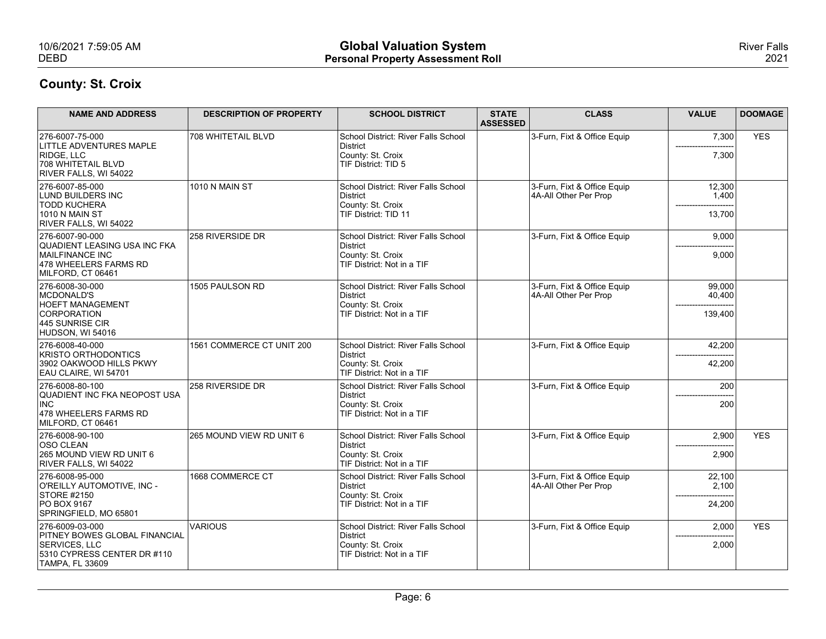| 10/6/2021 7:59:05 AM                                                     |                                | <b>Global Valuation System</b>                              |                 |                                                      |                               | <b>River Falls</b> |
|--------------------------------------------------------------------------|--------------------------------|-------------------------------------------------------------|-----------------|------------------------------------------------------|-------------------------------|--------------------|
| <b>DEBD</b>                                                              |                                | <b>Personal Property Assessment Roll</b>                    |                 |                                                      |                               | 2021               |
| <b>County: St. Croix</b>                                                 |                                |                                                             |                 |                                                      |                               |                    |
| <b>NAME AND ADDRESS</b>                                                  | <b>DESCRIPTION OF PROPERTY</b> | <b>SCHOOL DISTRICT</b>                                      | <b>STATE</b>    | <b>CLASS</b>                                         | <b>VALUE</b>                  | <b>DOOMAGE</b>     |
|                                                                          |                                |                                                             | <b>ASSESSED</b> |                                                      |                               |                    |
| 276-6007-75-000<br>LITTLE ADVENTURES MAPLE                               | 708 WHITETAIL BLVD             | School District: River Falls School<br>District             |                 | 3-Furn, Fixt & Office Equip                          | 7,300                         | <b>YES</b>         |
| <b>RIDGE, LLC</b><br>708 WHITETAIL BLVD                                  |                                | County: St. Croix<br>TIF District: TID 5                    |                 |                                                      | 7,300                         |                    |
| RIVER FALLS, WI 54022<br>276-6007-85-000                                 | 1010 N MAIN ST                 | School District: River Falls School                         |                 | 3-Furn, Fixt & Office Equip                          | 12,300                        |                    |
| LUND BUILDERS INC<br><b>TODD KUCHERA</b>                                 |                                | District<br>County: St. Croix                               |                 | 4A-All Other Per Prop                                | 1,400                         |                    |
| <b>1010 N MAIN ST</b><br>RIVER FALLS, WI 54022                           |                                | TIF District: TID 11                                        |                 |                                                      | 13,700                        |                    |
| 276-6007-90-000                                                          | 258 RIVERSIDE DR               | School District: River Falls School                         |                 | 3-Furn, Fixt & Office Equip                          | 9,000                         |                    |
| QUADIENT LEASING USA INC FKA<br>MAILFINANCE INC<br>478 WHEELERS FARMS RD |                                | District<br>County: St. Croix<br>TIF District: Not in a TIF |                 |                                                      | --------------------<br>9,000 |                    |
| MILFORD, CT 06461                                                        |                                |                                                             |                 |                                                      |                               |                    |
| 276-6008-30-000<br>MCDONALD'S                                            | 1505 PAULSON RD                | School District: River Falls School<br>District             |                 | 3-Furn, Fixt & Office Equip<br>4A-All Other Per Prop | 99,000<br>40,400              |                    |
| <b>HOEFT MANAGEMENT</b><br>CORPORATION                                   |                                | County: St. Croix<br>TIF District: Not in a TIF             |                 |                                                      | 139,400                       |                    |
| 445 SUNRISE CIR<br>HUDSON, WI 54016                                      |                                |                                                             |                 |                                                      |                               |                    |
| 276-6008-40-000<br><b>KRISTO ORTHODONTICS</b>                            | 1561 COMMERCE CT UNIT 200      | School District: River Falls School<br>District             |                 | 3-Furn, Fixt & Office Equip                          | 42,200                        |                    |
| 3902 OAKWOOD HILLS PKWY<br>EAU CLAIRE, WI 54701                          |                                | County: St. Croix<br>TIF District: Not in a TIF             |                 |                                                      | 42,200                        |                    |
| 276-6008-80-100                                                          | 258 RIVERSIDE DR               | School District: River Falls School                         |                 | 3-Furn, Fixt & Office Equip                          | 200                           |                    |
| QUADIENT INC FKA NEOPOST USA<br>$ $ INC                                  |                                | District<br>County: St. Croix                               |                 |                                                      | 200                           |                    |
| 478 WHEELERS FARMS RD<br>MILFORD, CT 06461                               |                                | TIF District: Not in a TIF                                  |                 |                                                      |                               |                    |
| 276-6008-90-100<br>OSO CLEAN                                             | 265 MOUND VIEW RD UNIT 6       | School District: River Falls School<br>District             |                 | 3-Furn, Fixt & Office Equip                          | 2,900                         | <b>YES</b>         |
| 265 MOUND VIEW RD UNIT 6<br>RIVER FALLS, WI 54022                        |                                | County: St. Croix<br>TIF District: Not in a TIF             |                 |                                                      | 2,900                         |                    |
| 276-6008-95-000                                                          | 1668 COMMERCE CT               | School District: River Falls School                         |                 | 3-Furn, Fixt & Office Equip                          | 22,100                        |                    |
| O'REILLY AUTOMOTIVE, INC -<br>STORE #2150                                |                                | District<br>County: St. Croix                               |                 | 4A-All Other Per Prop                                | 2,100<br>--------             |                    |
| <b>PO BOX 9167</b><br>SPRINGFIELD, MO 65801                              |                                | TIF District: Not in a TIF                                  |                 |                                                      | 24,200                        |                    |
| 276-6009-03-000<br><b>PITNEY BOWES GLOBAL FINANCIAL</b>                  | VARIOUS                        | School District: River Falls School<br>District             |                 | 3-Furn, Fixt & Office Equip                          | 2,000                         | <b>YES</b>         |
| SERVICES, LLC<br>5310 CYPRESS CENTER DR #110                             |                                | County: St. Croix<br>TIF District: Not in a TIF             |                 |                                                      | 2,000                         |                    |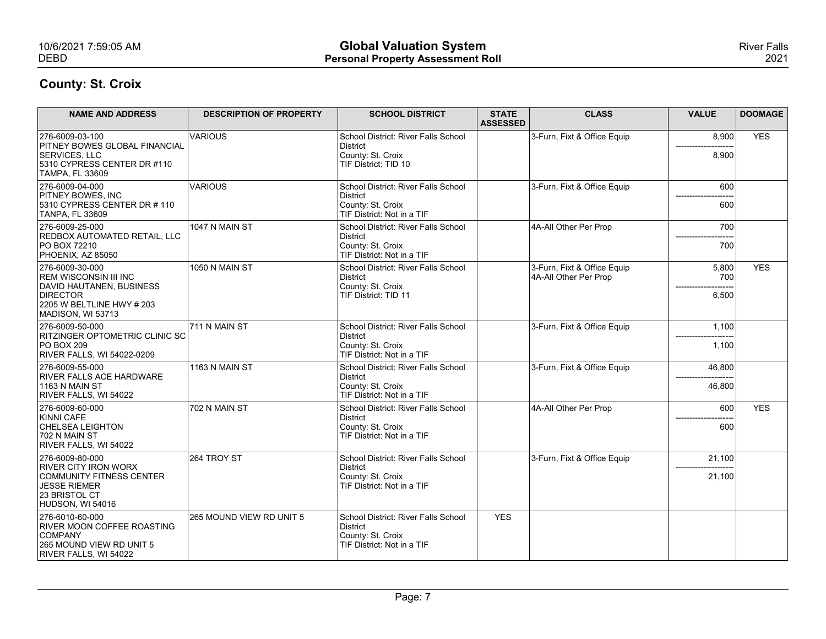| 10/6/2021 7:59:05 AM<br><b>DEBD</b>                                                                                                              |                                | <b>Global Valuation System</b><br><b>Personal Property Assessment Roll</b>                         |                                 |                                                      |                       | <b>River Falls</b><br>2021 |
|--------------------------------------------------------------------------------------------------------------------------------------------------|--------------------------------|----------------------------------------------------------------------------------------------------|---------------------------------|------------------------------------------------------|-----------------------|----------------------------|
| <b>County: St. Croix</b>                                                                                                                         |                                |                                                                                                    |                                 |                                                      |                       |                            |
| <b>NAME AND ADDRESS</b>                                                                                                                          | <b>DESCRIPTION OF PROPERTY</b> | <b>SCHOOL DISTRICT</b>                                                                             | <b>STATE</b><br><b>ASSESSED</b> | <b>CLASS</b>                                         | <b>VALUE</b>          | <b>DOOMAGE</b>             |
| 276-6009-03-100<br><b>PITNEY BOWES GLOBAL FINANCIAL</b>                                                                                          | <b>VARIOUS</b>                 | School District: River Falls School<br>District                                                    |                                 | 3-Furn, Fixt & Office Equip                          | 8,900                 | <b>YES</b>                 |
| <b>SERVICES, LLC</b><br>5310 CYPRESS CENTER DR #110<br>TAMPA, FL 33609                                                                           |                                | County: St. Croix<br>TIF District: TID 10                                                          |                                 |                                                      | 8,900                 |                            |
| 276-6009-04-000<br><b>PITNEY BOWES, INC</b>                                                                                                      | <b>VARIOUS</b>                 | School District: River Falls School<br>District                                                    |                                 | 3-Furn, Fixt & Office Equip                          | 600                   |                            |
| 5310 CYPRESS CENTER DR #110<br><b>TANPA, FL 33609</b>                                                                                            |                                | County: St. Croix<br>TIF District: Not in a TIF                                                    |                                 |                                                      | 600                   |                            |
| 276-6009-25-000<br>REDBOX AUTOMATED RETAIL, LLC<br>PO BOX 72210<br>PHOENIX, AZ 85050                                                             | 1047 N MAIN ST                 | School District: River Falls School<br>District<br>County: St. Croix<br>TIF District: Not in a TIF |                                 | 4A-All Other Per Prop                                | 700<br>700            |                            |
| 276-6009-30-000<br><b>REM WISCONSIN III INC</b><br>DAVID HAUTANEN, BUSINESS<br><b>DIRECTOR</b><br>2205 W BELTLINE HWY # 203<br>MADISON, WI 53713 | 1050 N MAIN ST                 | School District: River Falls School<br>District<br>County: St. Croix<br>TIF District: TID 11       |                                 | 3-Furn, Fixt & Office Equip<br>4A-All Other Per Prop | 5,800<br>700<br>6,500 | <b>YES</b>                 |
| 276-6009-50-000                                                                                                                                  | 711 N MAIN ST                  | School District: River Falls School                                                                |                                 | 3-Furn, Fixt & Office Equip                          | 1,100                 |                            |
| RITZINGER OPTOMETRIC CLINIC SC<br><b>PO BOX 209</b><br>RIVER FALLS, WI 54022-0209                                                                |                                | District<br>County: St. Croix<br>TIF District: Not in a TIF                                        |                                 |                                                      | 1,100                 |                            |
| 276-6009-55-000<br><b>RIVER FALLS ACE HARDWARE</b><br>1163 N MAIN ST<br>RIVER FALLS, WI 54022                                                    | 1163 N MAIN ST                 | School District: River Falls School<br>District<br>County: St. Croix<br>TIF District: Not in a TIF |                                 | 3-Furn, Fixt & Office Equip                          | 46,800<br>46,800      |                            |
| 276-6009-60-000                                                                                                                                  | 702 N MAIN ST                  | School District: River Falls School                                                                |                                 | 4A-All Other Per Prop                                | 600                   | <b>YES</b>                 |
| KINNI CAFE<br><b>CHELSEA LEIGHTON</b><br>702 N MAIN ST<br>RIVER FALLS, WI 54022                                                                  |                                | District<br>County: St. Croix<br>TIF District: Not in a TIF                                        |                                 |                                                      | 600                   |                            |
| 276-6009-80-000                                                                                                                                  | 264 TROY ST                    | School District: River Falls School                                                                |                                 | 3-Furn, Fixt & Office Equip                          | 21,100                |                            |
| <b>RIVER CITY IRON WORX</b><br>COMMUNITY FITNESS CENTER<br>JESSE RIEMER<br>23 BRISTOL CT<br>HUDSON, WI 54016                                     |                                | District<br>County: St. Croix<br>TIF District: Not in a TIF                                        |                                 |                                                      | 21,100                |                            |
| 276-6010-60-000<br>RIVER MOON COFFEE ROASTING<br><b>COMPANY</b><br>265 MOUND VIEW RD UNIT 5<br>RIVER FALLS, WI 54022                             | 265 MOUND VIEW RD UNIT 5       | School District: River Falls School<br>District<br>County: St. Croix<br>TIF District: Not in a TIF | <b>YES</b>                      |                                                      |                       |                            |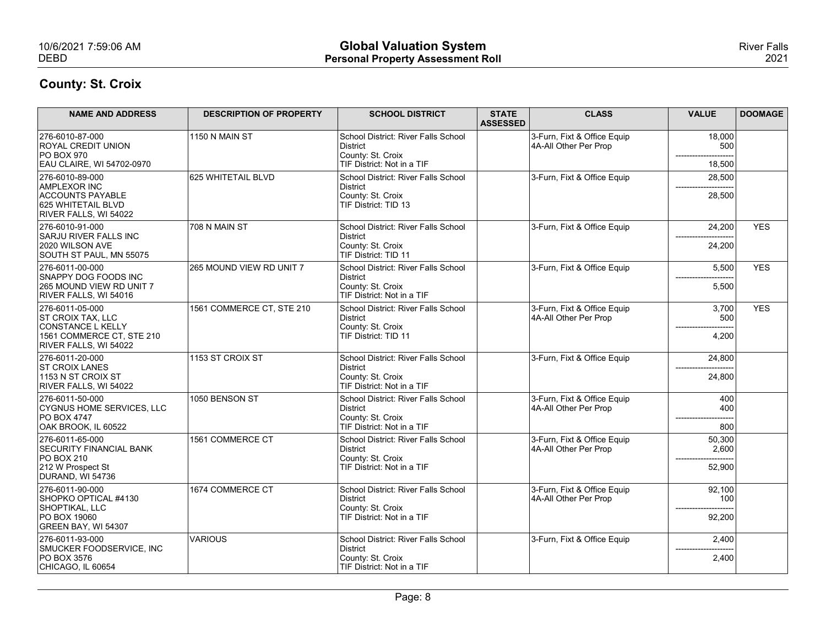| 10/6/2021 7:59:06 AM<br><b>DEBD</b>                                                                                                    |                                | <b>Global Valuation System</b><br><b>Personal Property Assessment Roll</b>                                                 |                                 |                                                      |                            | <b>River Falls</b><br>2021 |
|----------------------------------------------------------------------------------------------------------------------------------------|--------------------------------|----------------------------------------------------------------------------------------------------------------------------|---------------------------------|------------------------------------------------------|----------------------------|----------------------------|
| <b>County: St. Croix</b>                                                                                                               |                                |                                                                                                                            |                                 |                                                      |                            |                            |
| <b>NAME AND ADDRESS</b>                                                                                                                | <b>DESCRIPTION OF PROPERTY</b> | <b>SCHOOL DISTRICT</b>                                                                                                     | <b>STATE</b><br><b>ASSESSED</b> | <b>CLASS</b>                                         | <b>VALUE</b>               | <b>DOOMAGE</b>             |
| 276-6010-87-000<br><b>ROYAL CREDIT UNION</b><br><b>PO BOX 970</b>                                                                      | 1150 N MAIN ST                 | School District: River Falls School<br>District<br>County: St. Croix                                                       |                                 | 3-Furn, Fixt & Office Equip<br>4A-All Other Per Prop | 18,000<br>500              |                            |
| EAU CLAIRE, WI 54702-0970<br>276-6010-89-000<br>AMPLEXOR INC<br><b>ACCOUNTS PAYABLE</b><br>625 WHITETAIL BLVD<br>RIVER FALLS, WI 54022 | 625 WHITETAIL BLVD             | TIF District: Not in a TIF<br>School District: River Falls School<br>District<br>County: St. Croix<br>TIF District: TID 13 |                                 | 3-Furn, Fixt & Office Equip                          | 18,500<br>28,500<br>28,500 |                            |
| 276-6010-91-000<br>SARJU RIVER FALLS INC<br>2020 WILSON AVE<br>SOUTH ST PAUL, MN 55075                                                 | 708 N MAIN ST                  | School District: River Falls School<br>District<br>County: St. Croix<br>TIF District: TID 11                               |                                 | 3-Furn, Fixt & Office Equip                          | 24,200<br>$---$<br>24,200  | <b>YES</b>                 |
| 276-6011-00-000<br>SNAPPY DOG FOODS INC<br>265 MOUND VIEW RD UNIT 7<br>RIVER FALLS, WI 54016                                           | 265 MOUND VIEW RD UNIT 7       | School District: River Falls School<br>District<br>County: St. Croix<br>TIF District: Not in a TIF                         |                                 | 3-Furn, Fixt & Office Equip                          | 5,500<br>5,500             | <b>YES</b>                 |
| 276-6011-05-000<br><b>ST CROIX TAX, LLC</b><br>CONSTANCE L KELLY<br>1561 COMMERCE CT. STE 210<br>RIVER FALLS, WI 54022                 | 1561 COMMERCE CT, STE 210      | School District: River Falls School<br>District<br>County: St. Croix<br>TIF District: TID 11                               |                                 | 3-Furn, Fixt & Office Equip<br>4A-All Other Per Prop | 3,700<br>500<br>4,200      | <b>YES</b>                 |
| 276-6011-20-000<br><b>ST CROIX LANES</b><br>1153 N ST CROIX ST<br>RIVER FALLS, WI 54022                                                | 1153 ST CROIX ST               | School District: River Falls School<br>District<br>County: St. Croix<br>TIF District: Not in a TIF                         |                                 | 3-Furn, Fixt & Office Equip                          | 24,800<br>24,800           |                            |
| 276-6011-50-000<br>CYGNUS HOME SERVICES, LLC<br><b>PO BOX 4747</b><br>OAK BROOK, IL 60522                                              | 1050 BENSON ST                 | School District: River Falls School<br>District<br>County: St. Croix<br>TIF District: Not in a TIF                         |                                 | 3-Furn, Fixt & Office Equip<br>4A-All Other Per Prop | 400<br>400<br>800          |                            |
| 276-6011-65-000<br><b>SECURITY FINANCIAL BANK</b><br><b>PO BOX 210</b><br>212 W Prospect St<br>DURAND, WI 54736                        | 1561 COMMERCE CT               | School District: River Falls School<br>District<br>County: St. Croix<br>TIF District: Not in a TIF                         |                                 | 3-Furn, Fixt & Office Equip<br>4A-All Other Per Prop | 50,300<br>2,600<br>52,900  |                            |
| 276-6011-90-000<br>SHOPKO OPTICAL #4130<br>SHOPTIKAL, LLC<br>PO BOX 19060<br>GREEN BAY, WI 54307                                       | 1674 COMMERCE CT               | School District: River Falls School<br>District<br>County: St. Croix<br>TIF District: Not in a TIF                         |                                 | 3-Furn, Fixt & Office Equip<br>4A-All Other Per Prop | 92,100<br>100<br>92,200    |                            |
| 276-6011-93-000<br>SMUCKER FOODSERVICE, INC<br>PO BOX 3576<br>CHICAGO, IL 60654                                                        | VARIOUS                        | School District: River Falls School<br>District<br>County: St. Croix<br>TIF District: Not in a TIF                         |                                 | 3-Furn, Fixt & Office Equip                          | 2,400<br>2,400             |                            |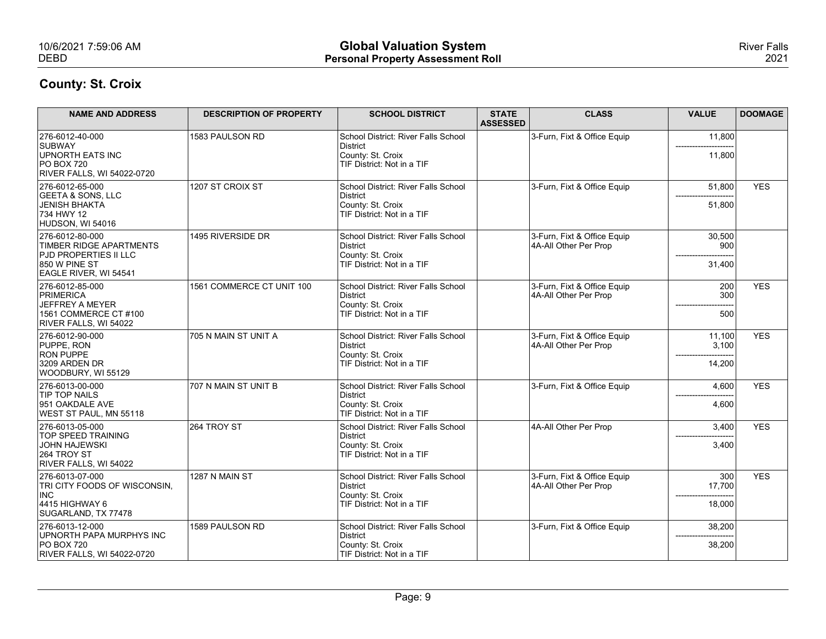| 10/6/2021 7:59:06 AM<br><b>DEBD</b>                                        |                                | <b>Global Valuation System</b><br><b>Personal Property Assessment Roll</b> |                                 |                                                      |                          | <b>River Falls</b><br>2021 |
|----------------------------------------------------------------------------|--------------------------------|----------------------------------------------------------------------------|---------------------------------|------------------------------------------------------|--------------------------|----------------------------|
| <b>County: St. Croix</b>                                                   |                                |                                                                            |                                 |                                                      |                          |                            |
| <b>NAME AND ADDRESS</b>                                                    | <b>DESCRIPTION OF PROPERTY</b> | <b>SCHOOL DISTRICT</b>                                                     | <b>STATE</b><br><b>ASSESSED</b> | <b>CLASS</b>                                         | <b>VALUE</b>             | <b>DOOMAGE</b>             |
| 276-6012-40-000<br>SUBWAY                                                  | 1583 PAULSON RD                | School District: River Falls School<br>District                            |                                 | 3-Furn, Fixt & Office Equip                          | 11,800                   |                            |
| <b>UPNORTH EATS INC</b><br><b>PO BOX 720</b><br>RIVER FALLS, WI 54022-0720 |                                | County: St. Croix<br>TIF District: Not in a TIF                            |                                 |                                                      | 11,800                   |                            |
| 276-6012-65-000<br>GEETA & SONS, LLC                                       | 1207 ST CROIX ST               | School District: River Falls School<br>District                            |                                 | 3-Furn, Fixt & Office Equip                          | 51,800                   | <b>YES</b>                 |
| JENISH BHAKTA<br>734 HWY 12<br>HUDSON, WI 54016                            |                                | County: St. Croix<br>TIF District: Not in a TIF                            |                                 |                                                      | 51,800                   |                            |
| 276-6012-80-000<br>TIMBER RIDGE APARTMENTS                                 | 1495 RIVERSIDE DR              | School District: River Falls School<br>District                            |                                 | 3-Furn, Fixt & Office Equip<br>4A-All Other Per Prop | 30,500<br>900            |                            |
| <b>PJD PROPERTIES II LLC</b><br>850 W PINE ST<br>EAGLE RIVER, WI 54541     |                                | County: St. Croix<br>TIF District: Not in a TIF                            |                                 |                                                      | 31,400                   |                            |
| 276-6012-85-000<br>PRIMERICA                                               | 1561 COMMERCE CT UNIT 100      | School District: River Falls School<br>District                            |                                 | 3-Furn, Fixt & Office Equip<br>4A-All Other Per Prop | 200<br>300               | <b>YES</b>                 |
| JEFFREY A MEYER<br>1561 COMMERCE CT #100                                   |                                | County: St. Croix<br>TIF District: Not in a TIF                            |                                 |                                                      | 500                      |                            |
| RIVER FALLS, WI 54022<br>276-6012-90-000                                   | 705 N MAIN ST UNIT A           | School District: River Falls School                                        |                                 | 3-Furn, Fixt & Office Equip                          | 11,100                   | <b>YES</b>                 |
| PUPPE, RON<br><b>RON PUPPE</b><br>3209 ARDEN DR                            |                                | District<br>County: St. Croix<br>TIF District: Not in a TIF                |                                 | 4A-All Other Per Prop                                | 3,100<br>14,200          |                            |
| WOODBURY, WI 55129<br>276-6013-00-000                                      | 707 N MAIN ST UNIT B           | School District: River Falls School                                        |                                 | 3-Furn, Fixt & Office Equip                          | 4,600                    | <b>YES</b>                 |
| TIP TOP NAILS<br>951 OAKDALE AVE                                           |                                | District<br>County: St. Croix                                              |                                 |                                                      | 4,600                    |                            |
| WEST ST PAUL, MN 55118<br>276-6013-05-000                                  | 264 TROY ST                    | TIF District: Not in a TIF<br>School District: River Falls School          |                                 | 4A-All Other Per Prop                                | 3,400                    | <b>YES</b>                 |
| <b>TOP SPEED TRAINING</b><br>JOHN HAJEWSKI                                 |                                | District<br>County: St. Croix                                              |                                 |                                                      | 3,400                    |                            |
| 264 TROY ST<br>RIVER FALLS, WI 54022                                       |                                | TIF District: Not in a TIF                                                 |                                 |                                                      |                          |                            |
| 276-6013-07-000<br>TRI CITY FOODS OF WISCONSIN,<br>INC                     | 1287 N MAIN ST                 | School District: River Falls School<br>District                            |                                 | 3-Furn, Fixt & Office Equip<br>4A-All Other Per Prop | 300<br>17,700            | <b>YES</b>                 |
| 4415 HIGHWAY 6<br>SUGARLAND, TX 77478                                      |                                | County: St. Croix<br>TIF District: Not in a TIF                            |                                 |                                                      | --------------<br>18,000 |                            |
| 276-6013-12-000<br>UPNORTH PAPA MURPHYS INC                                | 1589 PAULSON RD                | School District: River Falls School<br>District                            |                                 | 3-Furn, Fixt & Office Equip                          | 38,200                   |                            |
| <b>PO BOX 720</b><br>RIVER FALLS, WI 54022-0720                            |                                | County: St. Croix<br>TIF District: Not in a TIF                            |                                 |                                                      | 38,200                   |                            |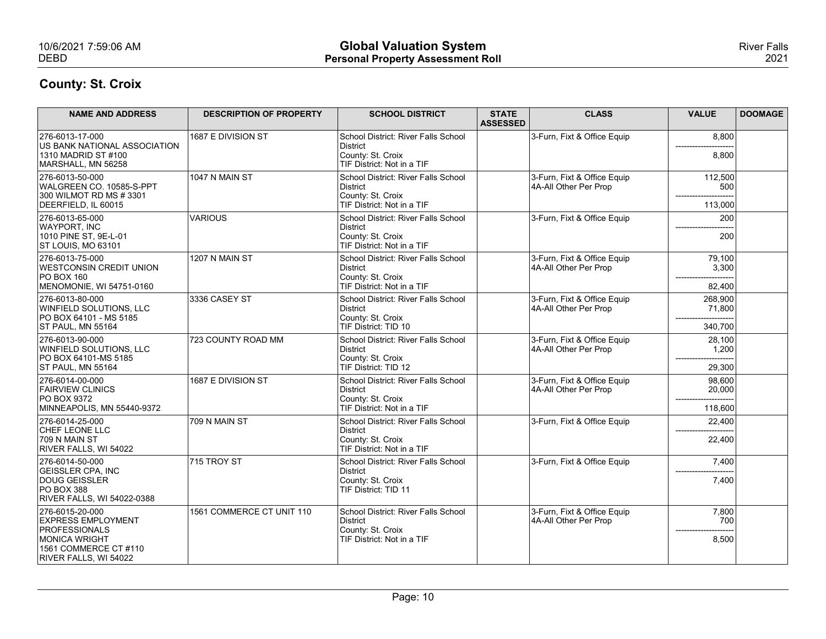| 10/6/2021 7:59:06 AM<br><b>DEBD</b>                                                                             |                                | <b>Global Valuation System</b><br><b>Personal Property Assessment Roll</b>                         |                                 |                                                      |                              | <b>River Falls</b><br>2021 |
|-----------------------------------------------------------------------------------------------------------------|--------------------------------|----------------------------------------------------------------------------------------------------|---------------------------------|------------------------------------------------------|------------------------------|----------------------------|
| <b>County: St. Croix</b>                                                                                        |                                |                                                                                                    |                                 |                                                      |                              |                            |
| <b>NAME AND ADDRESS</b>                                                                                         | <b>DESCRIPTION OF PROPERTY</b> | <b>SCHOOL DISTRICT</b>                                                                             | <b>STATE</b><br><b>ASSESSED</b> | <b>CLASS</b>                                         | <b>VALUE</b>                 | <b>DOOMAGE</b>             |
| 276-6013-17-000<br>US BANK NATIONAL ASSOCIATION<br>1310 MADRID ST #100<br>MARSHALL, MN 56258                    | 1687 E DIVISION ST             | School District: River Falls School<br>District<br>County: St. Croix<br>TIF District: Not in a TIF |                                 | 3-Furn, Fixt & Office Equip                          | 8,800<br>8,800               |                            |
| 276-6013-50-000<br>WALGREEN CO. 10585-S-PPT<br>300 WILMOT RD MS # 3301<br>DEERFIELD. IL 60015                   | 1047 N MAIN ST                 | School District: River Falls School<br>District<br>County: St. Croix<br>TIF District: Not in a TIF |                                 | 3-Furn, Fixt & Office Equip<br>4A-All Other Per Prop | 112,500<br>500<br>113,000    |                            |
| 276-6013-65-000<br>WAYPORT, INC<br>1010 PINE ST, 9E-L-01<br>ST LOUIS, MO 63101                                  | <b>VARIOUS</b>                 | School District: River Falls School<br>District<br>County: St. Croix<br>TIF District: Not in a TIF |                                 | 3-Furn, Fixt & Office Equip                          | 200<br>200                   |                            |
| 276-6013-75-000<br><b>WESTCONSIN CREDIT UNION</b><br><b>PO BOX 160</b><br>MENOMONIE, WI 54751-0160              | 1207 N MAIN ST                 | School District: River Falls School<br>District<br>County: St. Croix<br>TIF District: Not in a TIF |                                 | 3-Furn, Fixt & Office Equip<br>4A-All Other Per Prop | 79,100<br>3,300<br>82,400    |                            |
| 276-6013-80-000<br>WINFIELD SOLUTIONS, LLC<br>PO BOX 64101 - MS 5185<br>ST PAUL, MN 55164                       | 3336 CASEY ST                  | School District: River Falls School<br>District<br>County: St. Croix<br>TIF District: TID 10       |                                 | 3-Furn, Fixt & Office Equip<br>4A-All Other Per Prop | 268,900<br>71,800<br>340,700 |                            |
| 276-6013-90-000<br>WINFIELD SOLUTIONS, LLC<br>PO BOX 64101-MS 5185<br>ST PAUL, MN 55164                         | 723 COUNTY ROAD MM             | School District: River Falls School<br>District<br>County: St. Croix<br>TIF District: TID 12       |                                 | 3-Furn, Fixt & Office Equip<br>4A-All Other Per Prop | 28,100<br>1,200<br>29,300    |                            |
| 276-6014-00-000<br><b>FAIRVIEW CLINICS</b><br><b>PO BOX 9372</b><br>MINNEAPOLIS, MN 55440-9372                  | 1687 E DIVISION ST             | School District: River Falls School<br>District<br>County: St. Croix<br>TIF District: Not in a TIF |                                 | 3-Furn, Fixt & Office Equip<br>4A-All Other Per Prop | 98,600<br>20,000<br>118,600  |                            |
| 276-6014-25-000<br><b>CHEF LEONE LLC</b><br>709 N MAIN ST<br>RIVER FALLS, WI 54022                              | 709 N MAIN ST                  | School District: River Falls School<br>District<br>County: St. Croix<br>TIF District: Not in a TIF |                                 | 3-Furn, Fixt & Office Equip                          | 22,400<br>22,400             |                            |
| 276-6014-50-000<br><b>GEISSLER CPA, INC</b><br>DOUG GEISSLER<br><b>PO BOX 388</b><br>RIVER FALLS, WI 54022-0388 | 715 TROY ST                    | School District: River Falls School<br>District<br>County: St. Croix<br>TIF District: TID 11       |                                 | 3-Furn, Fixt & Office Equip                          | 7,400<br>7,400               |                            |
| 276-6015-20-000<br><b>EXPRESS EMPLOYMENT</b><br>PROFESSIONALS<br>MONICA WRIGHT<br>1561 COMMERCE CT #110         | 1561 COMMERCE CT UNIT 110      | School District: River Falls School<br>District<br>County: St. Croix<br>TIF District: Not in a TIF |                                 | 3-Furn, Fixt & Office Equip<br>4A-All Other Per Prop | 7,800<br>700<br>8,500        |                            |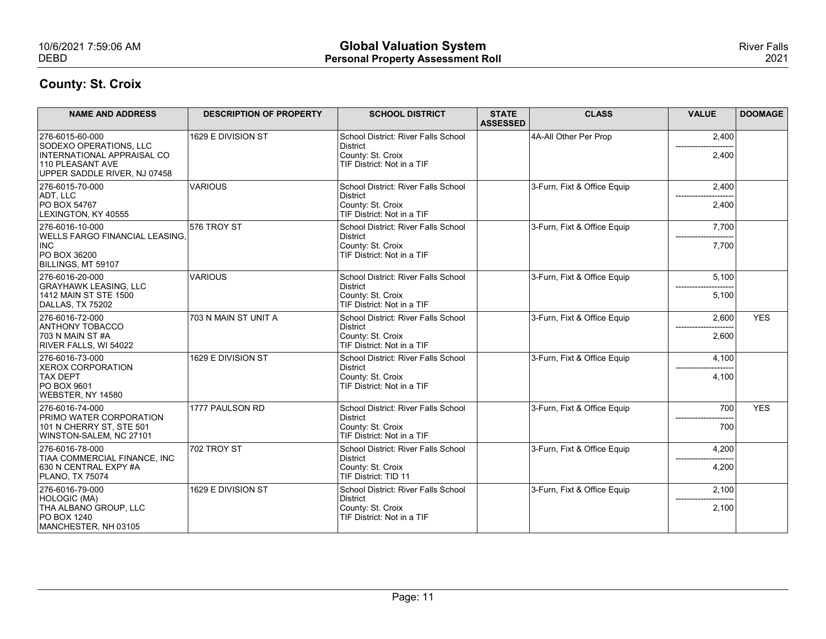| <b>Global Valuation System</b><br>10/6/2021 7:59:06 AM                                                                                                                      | <b>River Falls</b> |
|-----------------------------------------------------------------------------------------------------------------------------------------------------------------------------|--------------------|
| <b>DEBD</b><br><b>Personal Property Assessment Roll</b>                                                                                                                     | 2021               |
| <b>County: St. Croix</b>                                                                                                                                                    |                    |
|                                                                                                                                                                             |                    |
| <b>STATE</b><br><b>NAME AND ADDRESS</b><br><b>DESCRIPTION OF PROPERTY</b><br><b>SCHOOL DISTRICT</b><br><b>CLASS</b><br><b>VALUE</b><br><b>ASSESSED</b>                      | <b>DOOMAGE</b>     |
| 4A-All Other Per Prop<br>276-6015-60-000<br>1629 E DIVISION ST<br>School District: River Falls School<br>2,400<br>SODEXO OPERATIONS, LLC<br>District                        |                    |
| INTERNATIONAL APPRAISAL CO<br>County: St. Croix<br>2,400<br>TIF District: Not in a TIF<br>110 PLEASANT AVE<br>UPPER SADDLE RIVER, NJ 07458                                  |                    |
| 276-6015-70-000<br><b>VARIOUS</b><br>3-Furn, Fixt & Office Equip<br>School District: River Falls School<br>2,400                                                            |                    |
| ADT, LLC<br>District<br>PO BOX 54767<br>County: St. Croix<br>2,400<br>TIF District: Not in a TIF<br>LEXINGTON, KY 40555                                                     |                    |
| 576 TROY ST<br>276-6016-10-000<br>School District: River Falls School<br>3-Furn, Fixt & Office Equip<br>7,700                                                               |                    |
| <b>WELLS FARGO FINANCIAL LEASING,</b><br>District<br> INC<br>County: St. Croix<br>7,700                                                                                     |                    |
| TIF District: Not in a TIF<br>PO BOX 36200<br>BILLINGS, MT 59107                                                                                                            |                    |
| <b>VARIOUS</b><br>School District: River Falls School<br>3-Furn, Fixt & Office Equip<br>276-6016-20-000<br>5,100<br>GRAYHAWK LEASING, LLC<br>District                       |                    |
| 1412 MAIN ST STE 1500<br>County: St. Croix<br>5,100<br>TIF District: Not in a TIF<br>DALLAS, TX 75202                                                                       |                    |
| 276-6016-72-000<br>703 N MAIN ST UNIT A<br>School District: River Falls School<br>3-Furn, Fixt & Office Equip<br>2,600                                                      | <b>YES</b>         |
| <b>ANTHONY TOBACCO</b><br>District<br>------<br>County: St. Croix<br>703 N MAIN ST #A<br>2,600                                                                              |                    |
| TIF District: Not in a TIF<br>RIVER FALLS, WI 54022<br>1629 E DIVISION ST<br>3-Furn, Fixt & Office Equip<br>276-6016-73-000<br>School District: River Falls School<br>4,100 |                    |
| <b>XEROX CORPORATION</b><br>District<br>County: St. Croix<br><b>TAX DEPT</b><br>4,100                                                                                       |                    |
| <b>PO BOX 9601</b><br>TIF District: Not in a TIF<br>WEBSTER, NY 14580                                                                                                       |                    |
| 276-6016-74-000<br>1777 PAULSON RD<br>3-Furn, Fixt & Office Equip<br>700<br>School District: River Falls School                                                             | <b>YES</b>         |
| <b>PRIMO WATER CORPORATION</b><br>District<br>101 N CHERRY ST, STE 501<br>County: St. Croix<br>700                                                                          |                    |
| TIF District: Not in a TIF<br>WINSTON-SALEM, NC 27101<br>702 TROY ST<br>3-Furn, Fixt & Office Equip<br>276-6016-78-000<br>School District: River Falls School<br>4,200      |                    |
| TIAA COMMERCIAL FINANCE, INC<br>District<br>County: St. Croix<br>630 N CENTRAL EXPY #A<br>4,200                                                                             |                    |
| TIF District: TID 11<br><b>PLANO, TX 75074</b>                                                                                                                              |                    |
| 1629 E DIVISION ST<br>276-6016-79-000<br>School District: River Falls School<br>3-Furn, Fixt & Office Equip<br>2,100                                                        |                    |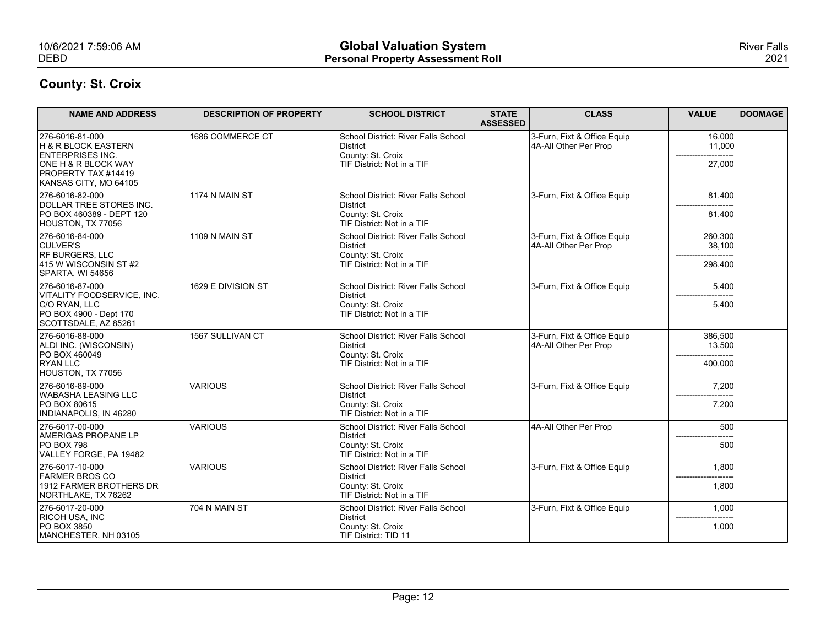| 10/6/2021 7:59:06 AM<br><b>DEBD</b>                                                                                                      |                                | <b>Global Valuation System</b><br><b>Personal Property Assessment Roll</b>                         |                                 |                                                      |                              | <b>River Falls</b><br>2021 |
|------------------------------------------------------------------------------------------------------------------------------------------|--------------------------------|----------------------------------------------------------------------------------------------------|---------------------------------|------------------------------------------------------|------------------------------|----------------------------|
| <b>County: St. Croix</b><br><b>NAME AND ADDRESS</b>                                                                                      | <b>DESCRIPTION OF PROPERTY</b> | <b>SCHOOL DISTRICT</b>                                                                             | <b>STATE</b><br><b>ASSESSED</b> | <b>CLASS</b>                                         | <b>VALUE</b>                 | <b>DOOMAGE</b>             |
| 276-6016-81-000<br>H & R BLOCK EASTERN<br><b>ENTERPRISES INC.</b><br>ONE H & R BLOCK WAY<br>PROPERTY TAX #14419<br>KANSAS CITY, MO 64105 | 1686 COMMERCE CT               | School District: River Falls School<br>District<br>County: St. Croix<br>TIF District: Not in a TIF |                                 | 3-Furn, Fixt & Office Equip<br>4A-All Other Per Prop | 16,000<br>11,000<br>27,000   |                            |
| 276-6016-82-000<br>DOLLAR TREE STORES INC.<br>PO BOX 460389 - DEPT 120<br>HOUSTON, TX 77056                                              | 1174 N MAIN ST                 | School District: River Falls School<br>District<br>County: St. Croix<br>TIF District: Not in a TIF |                                 | 3-Furn, Fixt & Office Equip                          | 81,400<br>81,400             |                            |
| 276-6016-84-000<br>CULVER'S<br>RF BURGERS, LLC<br>$ 415 \text{ W W} \text{SCON}$ SIN ST#2<br>SPARTA, WI 54656                            | 1109 N MAIN ST                 | School District: River Falls School<br>District<br>County: St. Croix<br>TIF District: Not in a TIF |                                 | 3-Furn, Fixt & Office Equip<br>4A-All Other Per Prop | 260,300<br>38,100<br>298,400 |                            |
| 276-6016-87-000<br>VITALITY FOODSERVICE, INC.<br>C/O RYAN, LLC<br>PO BOX 4900 - Dept 170<br>SCOTTSDALE, AZ 85261                         | 1629 E DIVISION ST             | School District: River Falls School<br>District<br>County: St. Croix<br>TIF District: Not in a TIF |                                 | 3-Furn, Fixt & Office Equip                          | 5,400<br>5,400               |                            |
| 276-6016-88-000<br>ALDI INC. (WISCONSIN)<br>PO BOX 460049<br><b>RYAN LLC</b><br>HOUSTON, TX 77056                                        | 1567 SULLIVAN CT               | School District: River Falls School<br>District<br>County: St. Croix<br>TIF District: Not in a TIF |                                 | 3-Furn, Fixt & Office Equip<br>4A-All Other Per Prop | 386,500<br>13,500<br>400,000 |                            |
| 276-6016-89-000<br><b>WABASHA LEASING LLC</b><br>PO BOX 80615<br>INDIANAPOLIS, IN 46280                                                  | <b>VARIOUS</b>                 | School District: River Falls School<br>District<br>County: St. Croix<br>TIF District: Not in a TIF |                                 | 3-Furn, Fixt & Office Equip                          | 7,200<br>7,200               |                            |
| 276-6017-00-000<br><b>AMERIGAS PROPANE LP</b><br><b>PO BOX 798</b><br>VALLEY FORGE, PA 19482                                             | VARIOUS                        | School District: River Falls School<br>District<br>County: St. Croix<br>TIF District: Not in a TIF |                                 | 4A-All Other Per Prop                                | 500<br>500                   |                            |
| 276-6017-10-000<br><b>FARMER BROS CO</b><br>1912 FARMER BROTHERS DR<br>NORTHLAKE, TX 76262                                               | <b>VARIOUS</b>                 | School District: River Falls School<br>District<br>County: St. Croix<br>TIF District: Not in a TIF |                                 | 3-Furn, Fixt & Office Equip                          | 1,800<br>1,800               |                            |
| 276-6017-20-000<br>RICOH USA, INC<br><b>PO BOX 3850</b><br>MANCHESTER, NH 03105                                                          | 704 N MAIN ST                  | School District: River Falls School<br>District<br>County: St. Croix<br>TIF District: TID 11       |                                 | 3-Furn, Fixt & Office Equip                          | 1,000<br>1,000               |                            |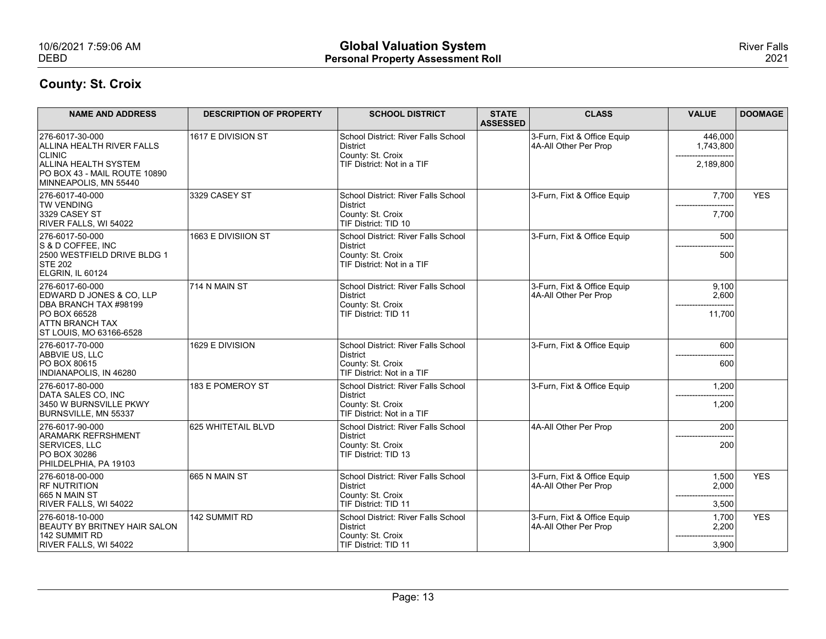| 10/6/2021 7:59:06 AM                                                                                                      |                                | <b>Global Valuation System</b>                                                                                             |                                 |                                                      |                                       | <b>River Falls</b> |
|---------------------------------------------------------------------------------------------------------------------------|--------------------------------|----------------------------------------------------------------------------------------------------------------------------|---------------------------------|------------------------------------------------------|---------------------------------------|--------------------|
| <b>DEBD</b>                                                                                                               |                                | <b>Personal Property Assessment Roll</b>                                                                                   |                                 |                                                      |                                       | 2021               |
| <b>County: St. Croix</b>                                                                                                  |                                |                                                                                                                            |                                 |                                                      |                                       |                    |
| <b>NAME AND ADDRESS</b>                                                                                                   | <b>DESCRIPTION OF PROPERTY</b> | <b>SCHOOL DISTRICT</b>                                                                                                     | <b>STATE</b><br><b>ASSESSED</b> | <b>CLASS</b>                                         | <b>VALUE</b>                          | <b>DOOMAGE</b>     |
| 276-6017-30-000<br>ALLINA HEALTH RIVER FALLS                                                                              | 1617 E DIVISION ST             | School District: River Falls School<br>District                                                                            |                                 | 3-Furn, Fixt & Office Equip<br>4A-All Other Per Prop | 446,000<br>1,743,800                  |                    |
| <b>CLINIC</b><br><b>ALLINA HEALTH SYSTEM</b><br>PO BOX 43 - MAIL ROUTE 10890<br>MINNEAPOLIS, MN 55440                     |                                | County: St. Croix<br>TIF District: Not in a TIF                                                                            |                                 |                                                      | 2,189,800                             |                    |
| 276-6017-40-000<br><b>TW VENDING</b><br>3329 CASEY ST<br>RIVER FALLS, WI 54022                                            | 3329 CASEY ST                  | School District: River Falls School<br>District<br>County: St. Croix<br>TIF District: TID 10                               |                                 | 3-Furn, Fixt & Office Equip                          | 7,700<br>7,700                        | <b>YES</b>         |
| 276-6017-50-000<br>S & D COFFEE, INC<br>2500 WESTFIELD DRIVE BLDG 1<br><b>STE 202</b><br>ELGRIN, IL 60124                 | 1663 E DIVISIION ST            | School District: River Falls School<br>District<br>County: St. Croix<br>TIF District: Not in a TIF                         |                                 | 3-Furn, Fixt & Office Equip                          | 500<br>---------------------<br>500   |                    |
| 276-6017-60-000<br>EDWARD D JONES & CO, LLP<br>DBA BRANCH TAX #98199<br>PO BOX 66528<br><b>ATTN BRANCH TAX</b>            | 714 N MAIN ST                  | School District: River Falls School<br>District<br>County: St. Croix<br>TIF District: TID 11                               |                                 | 3-Furn, Fixt & Office Equip<br>4A-All Other Per Prop | 9,100<br>2,600<br>11,700              |                    |
| ST LOUIS, MO 63166-6528<br>276-6017-70-000<br>ABBVIE US, LLC<br><b>PO BOX 80615</b>                                       | 1629 E DIVISION                | School District: River Falls School<br>District<br>County: St. Croix                                                       |                                 | 3-Furn, Fixt & Office Equip                          | 600<br>600                            |                    |
| INDIANAPOLIS, IN 46280<br>276-6017-80-000<br>DATA SALES CO, INC<br>3450 W BURNSVILLE PKWY                                 | 183 E POMEROY ST               | TIF District: Not in a TIF<br>School District: River Falls School<br>District<br>County: St. Croix                         |                                 | 3-Furn, Fixt & Office Equip                          | 1,200<br>1,200                        |                    |
| BURNSVILLE, MN 55337<br>276-6017-90-000<br><b>ARAMARK REFRSHMENT</b><br>SERVICES, LLC<br>PO BOX 30286                     | 625 WHITETAIL BLVD             | TIF District: Not in a TIF<br>School District: River Falls School<br>District<br>County: St. Croix<br>TIF District: TID 13 |                                 | 4A-All Other Per Prop                                | 200<br>200                            |                    |
| PHILDELPHIA, PA 19103<br>276-6018-00-000<br><b>RF NUTRITION</b><br>665 N MAIN ST                                          | 665 N MAIN ST                  | School District: River Falls School<br>District<br>County: St. Croix                                                       |                                 | 3-Furn, Fixt & Office Equip<br>4A-All Other Per Prop | 1,500<br>2,000<br>------------------- | <b>YES</b>         |
| RIVER FALLS, WI 54022<br>276-6018-10-000<br><b>BEAUTY BY BRITNEY HAIR SALON</b><br>142 SUMMIT RD<br>RIVER FALLS, WI 54022 | 142 SUMMIT RD                  | TIF District: TID 11<br>School District: River Falls School<br>District<br>County: St. Croix<br>TIF District: TID 11       |                                 | 3-Furn, Fixt & Office Equip<br>4A-All Other Per Prop | 3,500<br>1,700<br>2,200<br>3,900      | <b>YES</b>         |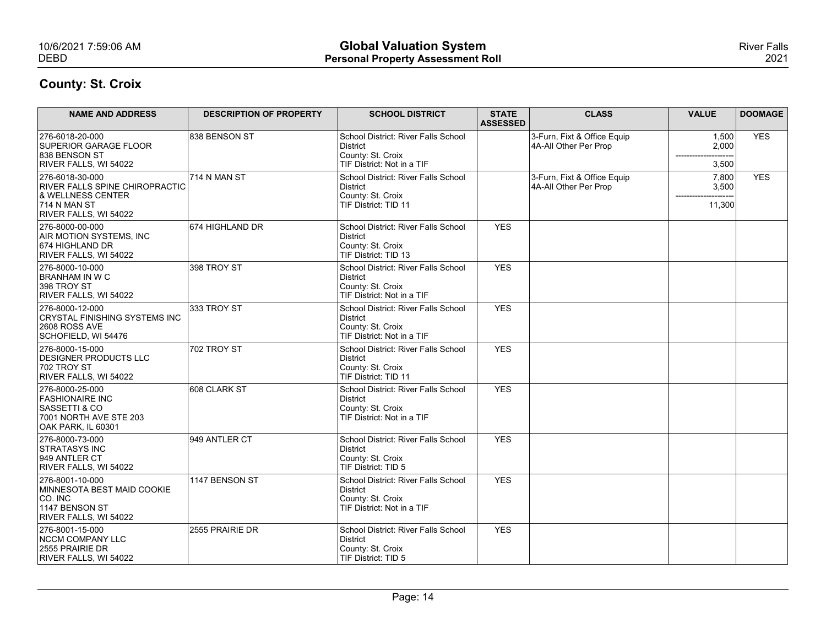| 10/6/2021 7:59:06 AM<br><b>DEBD</b>                                                                                                  |                                | <b>Global Valuation System</b><br><b>Personal Property Assessment Roll</b>                         |                                 |                                                      |                          | <b>River Falls</b><br>2021 |
|--------------------------------------------------------------------------------------------------------------------------------------|--------------------------------|----------------------------------------------------------------------------------------------------|---------------------------------|------------------------------------------------------|--------------------------|----------------------------|
| <b>County: St. Croix</b>                                                                                                             |                                |                                                                                                    |                                 |                                                      |                          |                            |
| <b>NAME AND ADDRESS</b>                                                                                                              | <b>DESCRIPTION OF PROPERTY</b> | <b>SCHOOL DISTRICT</b>                                                                             | <b>STATE</b><br><b>ASSESSED</b> | <b>CLASS</b>                                         | <b>VALUE</b>             | <b>DOOMAGE</b>             |
| 276-6018-20-000<br><b>SUPERIOR GARAGE FLOOR</b><br>838 BENSON ST<br>RIVER FALLS, WI 54022                                            | 838 BENSON ST                  | School District: River Falls School<br>District<br>County: St. Croix<br>TIF District: Not in a TIF |                                 | 3-Furn, Fixt & Office Equip<br>4A-All Other Per Prop | 1,500<br>2,000<br>3,500  | <b>YES</b>                 |
| 276-6018-30-000<br><b>RIVER FALLS SPINE CHIROPRACTIC</b><br><b>&amp; WELLNESS CENTER</b><br>$ 714 N$ MAN ST<br>RIVER FALLS, WI 54022 | 714 N MAN ST                   | School District: River Falls School<br>District<br>County: St. Croix<br>TIF District: TID 11       |                                 | 3-Furn, Fixt & Office Equip<br>4A-All Other Per Prop | 7,800<br>3,500<br>11,300 | <b>YES</b>                 |
| 276-8000-00-000<br>AIR MOTION SYSTEMS, INC<br>674 HIGHLAND DR<br>RIVER FALLS, WI 54022                                               | 674 HIGHLAND DR                | School District: River Falls School<br>District<br>County: St. Croix<br>TIF District: TID 13       | YES                             |                                                      |                          |                            |
| 276-8000-10-000<br><b>BRANHAM IN W C</b><br>398 TROY ST<br>RIVER FALLS, WI 54022                                                     | 398 TROY ST                    | School District: River Falls School<br>District<br>County: St. Croix<br>TIF District: Not in a TIF | YES                             |                                                      |                          |                            |
| 276-8000-12-000<br>CRYSTAL FINISHING SYSTEMS INC<br><b>2608 ROSS AVE</b><br>SCHOFIELD, WI 54476                                      | 333 TROY ST                    | School District: River Falls School<br>District<br>County: St. Croix<br>TIF District: Not in a TIF | YES                             |                                                      |                          |                            |
| 276-8000-15-000<br><b>DESIGNER PRODUCTS LLC</b><br>702 TROY ST<br>RIVER FALLS, WI 54022                                              | 702 TROY ST                    | School District: River Falls School<br>District<br>County: St. Croix<br>TIF District: TID 11       | YES                             |                                                      |                          |                            |
| 276-8000-25-000<br><b>FASHIONAIRE INC</b><br><b>SASSETTI &amp; CO</b><br>7001 NORTH AVE STE 203<br>OAK PARK, IL 60301                | 608 CLARK ST                   | School District: River Falls School<br>District<br>County: St. Croix<br>TIF District: Not in a TIF | YES                             |                                                      |                          |                            |
| 276-8000-73-000<br><b>STRATASYS INC</b><br>949 ANTLER CT<br>RIVER FALLS, WI 54022                                                    | 949 ANTLER CT                  | School District: River Falls School<br>District<br>County: St. Croix<br>TIF District: TID 5        | <b>YES</b>                      |                                                      |                          |                            |
| 276-8001-10-000<br>MINNESOTA BEST MAID COOKIE<br>$ CO.$ INC<br>1147 BENSON ST<br>RIVER FALLS, WI 54022                               | 1147 BENSON ST                 | School District: River Falls School<br>District<br>County: St. Croix<br>TIF District: Not in a TIF | YES                             |                                                      |                          |                            |
| 276-8001-15-000<br>NCCM COMPANY LLC<br>2555 PRAIRIE DR<br>RIVER FALLS, WI 54022                                                      | 2555 PRAIRIE DR                | School District: River Falls School<br>District<br>County: St. Croix<br>TIF District: TID 5        | YES                             |                                                      |                          |                            |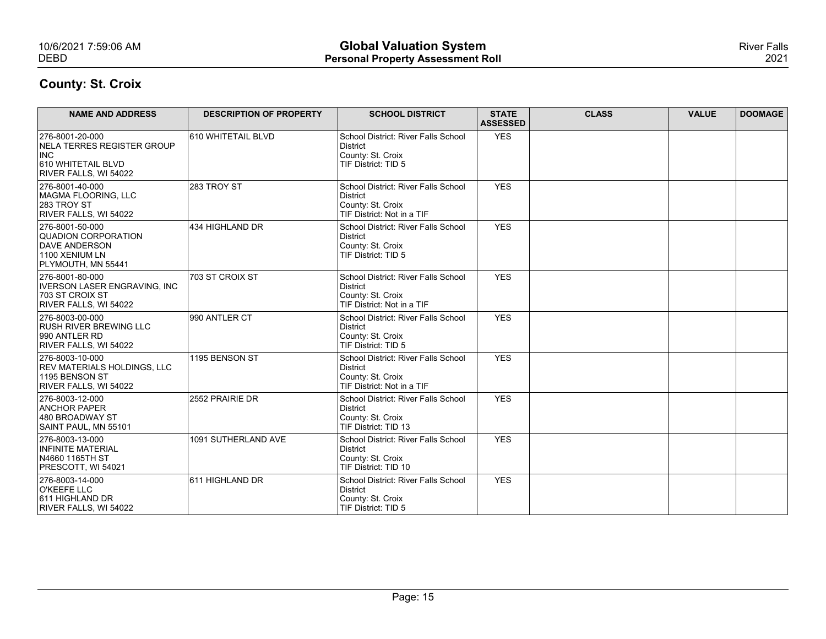| 10/6/2021 7:59:06 AM<br><b>DEBD</b>                                                             |                                | <b>Global Valuation System</b><br><b>Personal Property Assessment Roll</b>                         |                                 |              |              | <b>River Falls</b><br>2021 |
|-------------------------------------------------------------------------------------------------|--------------------------------|----------------------------------------------------------------------------------------------------|---------------------------------|--------------|--------------|----------------------------|
| <b>County: St. Croix</b>                                                                        |                                |                                                                                                    |                                 |              |              |                            |
| <b>NAME AND ADDRESS</b>                                                                         | <b>DESCRIPTION OF PROPERTY</b> | <b>SCHOOL DISTRICT</b>                                                                             | <b>STATE</b><br><b>ASSESSED</b> | <b>CLASS</b> | <b>VALUE</b> | <b>DOOMAGE</b>             |
| 276-8001-20-000<br>NELA TERRES REGISTER GROUP                                                   | 610 WHITETAIL BLVD             | School District: River Falls School<br>District                                                    | YES                             |              |              |                            |
| <b>INC</b><br>610 WHITETAIL BLVD<br>RIVER FALLS, WI 54022                                       |                                | County: St. Croix<br>TIF District: TID 5                                                           |                                 |              |              |                            |
| 276-8001-40-000<br>MAGMA FLOORING, LLC<br><b>283 TROY ST</b><br>RIVER FALLS, WI 54022           | 283 TROY ST                    | School District: River Falls School<br>District<br>County: St. Croix<br>TIF District: Not in a TIF | <b>YES</b>                      |              |              |                            |
| 276-8001-50-000<br>QUADION CORPORATION<br>DAVE ANDERSON<br>1100 XENIUM LN<br>PLYMOUTH, MN 55441 | 434 HIGHLAND DR                | School District: River Falls School<br>District<br>County: St. Croix<br>TIF District: TID 5        | YES                             |              |              |                            |
| 276-8001-80-000<br>IVERSON LASER ENGRAVING, INC<br>703 ST CROIX ST<br>RIVER FALLS, WI 54022     | 703 ST CROIX ST                | School District: River Falls School<br>District<br>County: St. Croix<br>TIF District: Not in a TIF | YES                             |              |              |                            |
| 276-8003-00-000<br><b>RUSH RIVER BREWING LLC</b><br>990 ANTLER RD<br>RIVER FALLS, WI 54022      | 990 ANTLER CT                  | School District: River Falls School<br>District<br>County: St. Croix<br>TIF District: TID 5        | YES                             |              |              |                            |
| 276-8003-10-000<br>REV MATERIALS HOLDINGS, LLC<br>1195 BENSON ST<br>RIVER FALLS, WI 54022       | 1195 BENSON ST                 | School District: River Falls School<br>District<br>County: St. Croix<br>TIF District: Not in a TIF | YES                             |              |              |                            |
| 276-8003-12-000<br><b>ANCHOR PAPER</b><br>480 BROADWAY ST<br>SAINT PAUL, MN 55101               | 2552 PRAIRIE DR                | School District: River Falls School<br>District<br>County: St. Croix<br>TIF District: TID 13       | YES                             |              |              |                            |
| 276-8003-13-000<br>INFINITE MATERIAL<br>N4660 1165TH ST<br>PRESCOTT, WI 54021                   | 1091 SUTHERLAND AVE            | School District: River Falls School<br>District<br>County: St. Croix<br>TIF District: TID 10       | YES                             |              |              |                            |
| 276-8003-14-000<br>O'KEEFE LLC<br>611 HIGHLAND DR<br>RIVER FALLS, WI 54022                      | 611 HIGHLAND DR                | School District: River Falls School<br>District<br>County: St. Croix<br>TIF District: TID 5        | YES                             |              |              |                            |